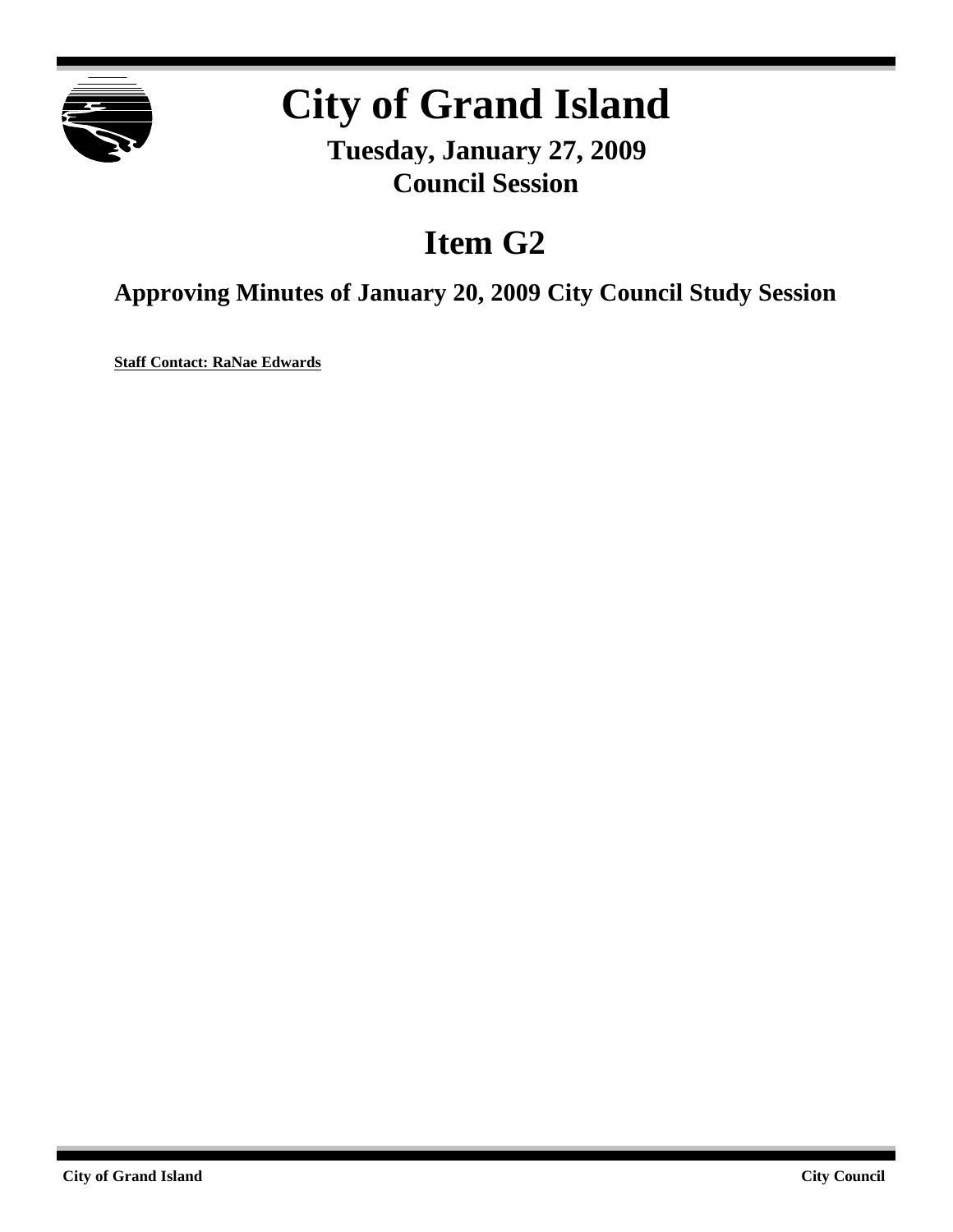

## **City of Grand Island**

**Tuesday, January 27, 2009 Council Session**

## **Item G2**

**Approving Minutes of January 20, 2009 City Council Study Session**

**Staff Contact: RaNae Edwards**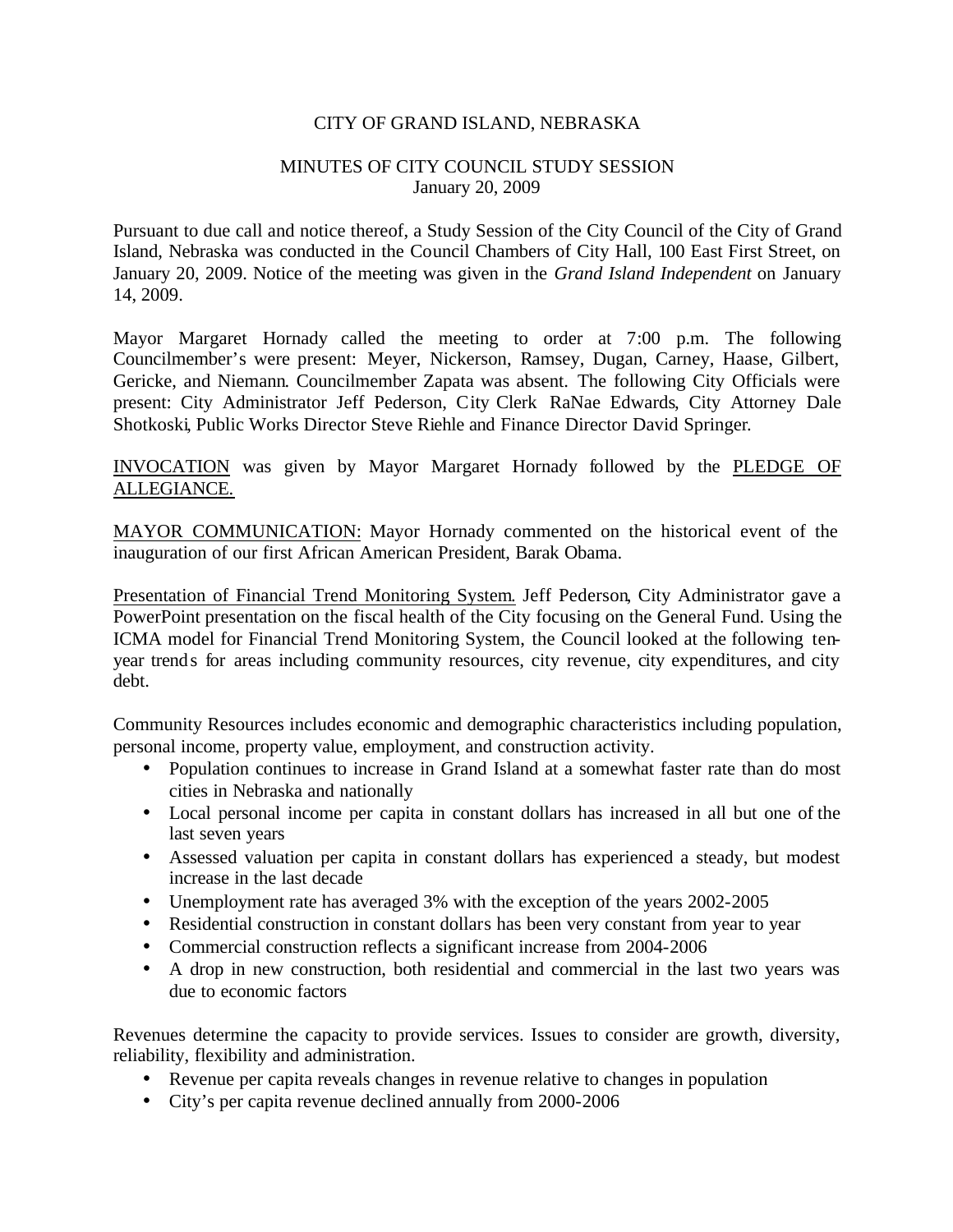## CITY OF GRAND ISLAND, NEBRASKA

## MINUTES OF CITY COUNCIL STUDY SESSION January 20, 2009

Pursuant to due call and notice thereof, a Study Session of the City Council of the City of Grand Island, Nebraska was conducted in the Council Chambers of City Hall, 100 East First Street, on January 20, 2009. Notice of the meeting was given in the *Grand Island Independent* on January 14, 2009.

Mayor Margaret Hornady called the meeting to order at 7:00 p.m. The following Councilmember's were present: Meyer, Nickerson, Ramsey, Dugan, Carney, Haase, Gilbert, Gericke, and Niemann. Councilmember Zapata was absent. The following City Officials were present: City Administrator Jeff Pederson, City Clerk RaNae Edwards, City Attorney Dale Shotkoski, Public Works Director Steve Riehle and Finance Director David Springer.

INVOCATION was given by Mayor Margaret Hornady followed by the PLEDGE OF ALLEGIANCE.

MAYOR COMMUNICATION: Mayor Hornady commented on the historical event of the inauguration of our first African American President, Barak Obama.

Presentation of Financial Trend Monitoring System. Jeff Pederson, City Administrator gave a PowerPoint presentation on the fiscal health of the City focusing on the General Fund. Using the ICMA model for Financial Trend Monitoring System, the Council looked at the following tenyear trends for areas including community resources, city revenue, city expenditures, and city debt.

Community Resources includes economic and demographic characteristics including population, personal income, property value, employment, and construction activity.

- Population continues to increase in Grand Island at a somewhat faster rate than do most cities in Nebraska and nationally
- Local personal income per capita in constant dollars has increased in all but one of the last seven years
- Assessed valuation per capita in constant dollars has experienced a steady, but modest increase in the last decade
- Unemployment rate has averaged 3% with the exception of the years 2002-2005
- Residential construction in constant dollars has been very constant from year to year
- Commercial construction reflects a significant increase from 2004-2006
- A drop in new construction, both residential and commercial in the last two years was due to economic factors

Revenues determine the capacity to provide services. Issues to consider are growth, diversity, reliability, flexibility and administration.

- Revenue per capita reveals changes in revenue relative to changes in population
- City's per capita revenue declined annually from 2000-2006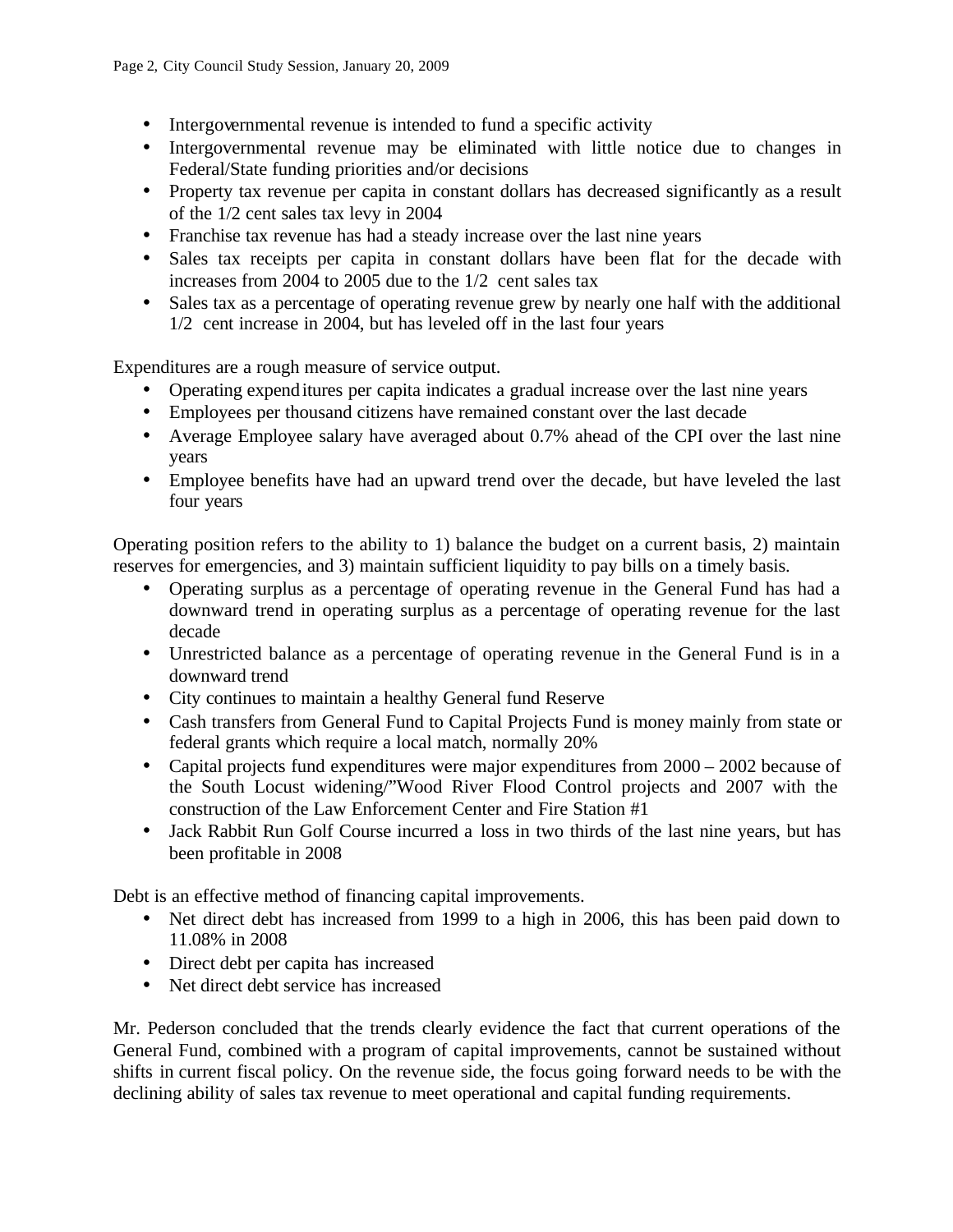- Intergovernmental revenue is intended to fund a specific activity
- Intergovernmental revenue may be eliminated with little notice due to changes in Federal/State funding priorities and/or decisions
- Property tax revenue per capita in constant dollars has decreased significantly as a result of the 1/2 cent sales tax levy in 2004
- Franchise tax revenue has had a steady increase over the last nine years
- Sales tax receipts per capita in constant dollars have been flat for the decade with increases from 2004 to 2005 due to the 1/2 cent sales tax
- Sales tax as a percentage of operating revenue grew by nearly one half with the additional 1/2 cent increase in 2004, but has leveled off in the last four years

Expenditures are a rough measure of service output.

- Operating expenditures per capita indicates a gradual increase over the last nine years
- Employees per thousand citizens have remained constant over the last decade
- Average Employee salary have averaged about 0.7% ahead of the CPI over the last nine years
- Employee benefits have had an upward trend over the decade, but have leveled the last four years

Operating position refers to the ability to 1) balance the budget on a current basis, 2) maintain reserves for emergencies, and 3) maintain sufficient liquidity to pay bills on a timely basis.

- Operating surplus as a percentage of operating revenue in the General Fund has had a downward trend in operating surplus as a percentage of operating revenue for the last decade
- Unrestricted balance as a percentage of operating revenue in the General Fund is in a downward trend
- City continues to maintain a healthy General fund Reserve
- Cash transfers from General Fund to Capital Projects Fund is money mainly from state or federal grants which require a local match, normally 20%
- Capital projects fund expenditures were major expenditures from  $2000 2002$  because of the South Locust widening/"Wood River Flood Control projects and 2007 with the construction of the Law Enforcement Center and Fire Station #1
- Jack Rabbit Run Golf Course incurred a loss in two thirds of the last nine years, but has been profitable in 2008

Debt is an effective method of financing capital improvements.

- Net direct debt has increased from 1999 to a high in 2006, this has been paid down to 11.08% in 2008
- Direct debt per capita has increased
- Net direct debt service has increased

Mr. Pederson concluded that the trends clearly evidence the fact that current operations of the General Fund, combined with a program of capital improvements, cannot be sustained without shifts in current fiscal policy. On the revenue side, the focus going forward needs to be with the declining ability of sales tax revenue to meet operational and capital funding requirements.